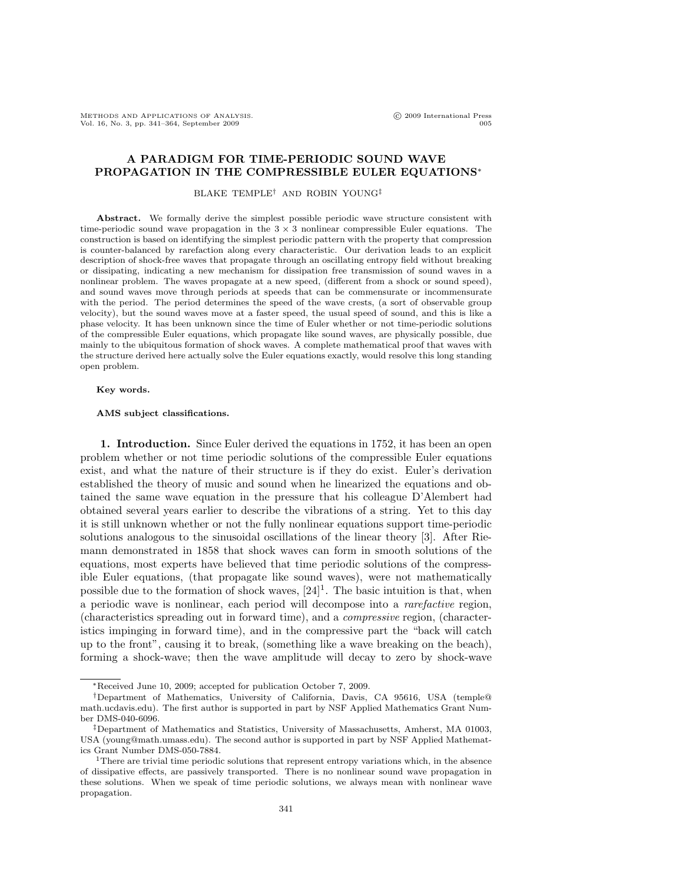METHODS AND APPLICATIONS OF ANALYSIS.<br>Vol. 16, No. 3, np. 341–364. September 2009 international Press Vol. 16, No. 3, pp. 341-364, September 2009

# A PARADIGM FOR TIME-PERIODIC SOUND WAVE PROPAGATION IN THE COMPRESSIBLE EULER EQUATIONS<sup>∗</sup>

### BLAKE TEMPLE† AND ROBIN YOUNG‡

Abstract. We formally derive the simplest possible periodic wave structure consistent with time-periodic sound wave propagation in the  $3 \times 3$  nonlinear compressible Euler equations. The construction is based on identifying the simplest periodic pattern with the property that compression is counter-balanced by rarefaction along every characteristic. Our derivation leads to an explicit description of shock-free waves that propagate through an oscillating entropy field without breaking or dissipating, indicating a new mechanism for dissipation free transmission of sound waves in a nonlinear problem. The waves propagate at a new speed, (different from a shock or sound speed), and sound waves move through periods at speeds that can be commensurate or incommensurate with the period. The period determines the speed of the wave crests, (a sort of observable group velocity), but the sound waves move at a faster speed, the usual speed of sound, and this is like a phase velocity. It has been unknown since the time of Euler whether or not time-periodic solutions of the compressible Euler equations, which propagate like sound waves, are physically possible, due mainly to the ubiquitous formation of shock waves. A complete mathematical proof that waves with the structure derived here actually solve the Euler equations exactly, would resolve this long standing open problem.

# Key words.

#### AMS subject classifications.

1. Introduction. Since Euler derived the equations in 1752, it has been an open problem whether or not time periodic solutions of the compressible Euler equations exist, and what the nature of their structure is if they do exist. Euler's derivation established the theory of music and sound when he linearized the equations and obtained the same wave equation in the pressure that his colleague D'Alembert had obtained several years earlier to describe the vibrations of a string. Yet to this day it is still unknown whether or not the fully nonlinear equations support time-periodic solutions analogous to the sinusoidal oscillations of the linear theory [3]. After Riemann demonstrated in 1858 that shock waves can form in smooth solutions of the equations, most experts have believed that time periodic solutions of the compressible Euler equations, (that propagate like sound waves), were not mathematically possible due to the formation of shock waves,  $[24]$ <sup>1</sup>. The basic intuition is that, when a periodic wave is nonlinear, each period will decompose into a *rarefactive* region, (characteristics spreading out in forward time), and a *compressive* region, (characteristics impinging in forward time), and in the compressive part the "back will catch up to the front", causing it to break, (something like a wave breaking on the beach), forming a shock-wave; then the wave amplitude will decay to zero by shock-wave

<sup>∗</sup>Received June 10, 2009; accepted for publication October 7, 2009.

<sup>†</sup>Department of Mathematics, University of California, Davis, CA 95616, USA (temple@ math.ucdavis.edu). The first author is supported in part by NSF Applied Mathematics Grant Number DMS-040-6096.

<sup>‡</sup>Department of Mathematics and Statistics, University of Massachusetts, Amherst, MA 01003, USA (young@math.umass.edu). The second author is supported in part by NSF Applied Mathematics Grant Number DMS-050-7884.

<sup>&</sup>lt;sup>1</sup>There are trivial time periodic solutions that represent entropy variations which, in the absence of dissipative effects, are passively transported. There is no nonlinear sound wave propagation in these solutions. When we speak of time periodic solutions, we always mean with nonlinear wave propagation.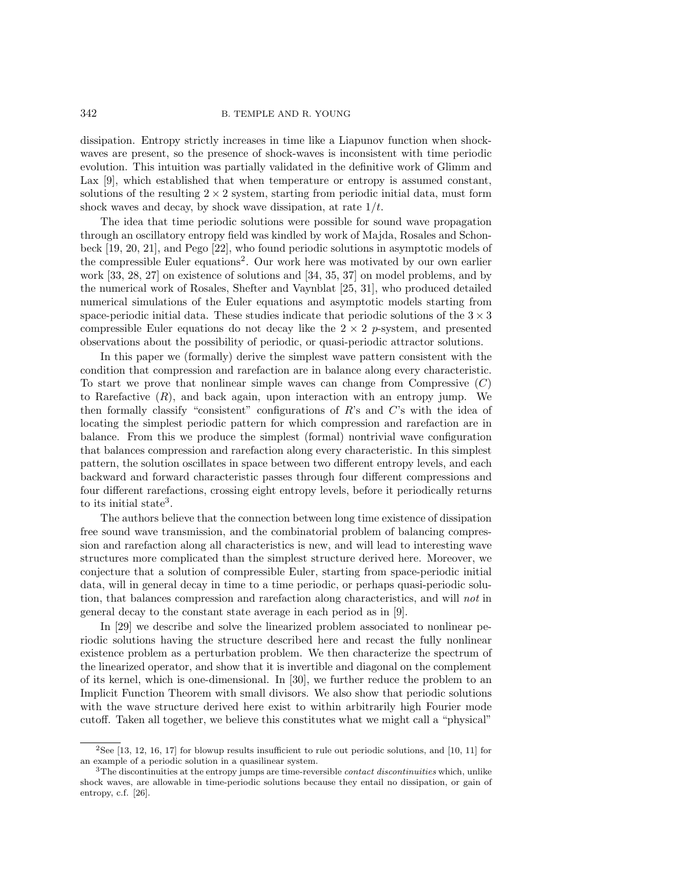dissipation. Entropy strictly increases in time like a Liapunov function when shockwaves are present, so the presence of shock-waves is inconsistent with time periodic evolution. This intuition was partially validated in the definitive work of Glimm and Lax [9], which established that when temperature or entropy is assumed constant, solutions of the resulting  $2 \times 2$  system, starting from periodic initial data, must form shock waves and decay, by shock wave dissipation, at rate  $1/t$ .

The idea that time periodic solutions were possible for sound wave propagation through an oscillatory entropy field was kindled by work of Majda, Rosales and Schonbeck [19, 20, 21], and Pego [22], who found periodic solutions in asymptotic models of the compressible Euler equations<sup>2</sup>. Our work here was motivated by our own earlier work [33, 28, 27] on existence of solutions and [34, 35, 37] on model problems, and by the numerical work of Rosales, Shefter and Vaynblat [25, 31], who produced detailed numerical simulations of the Euler equations and asymptotic models starting from space-periodic initial data. These studies indicate that periodic solutions of the  $3 \times 3$ compressible Euler equations do not decay like the  $2 \times 2$  p-system, and presented observations about the possibility of periodic, or quasi-periodic attractor solutions.

In this paper we (formally) derive the simplest wave pattern consistent with the condition that compression and rarefaction are in balance along every characteristic. To start we prove that nonlinear simple waves can change from Compressive  $(C)$ to Rarefactive  $(R)$ , and back again, upon interaction with an entropy jump. We then formally classify "consistent" configurations of R's and C's with the idea of locating the simplest periodic pattern for which compression and rarefaction are in balance. From this we produce the simplest (formal) nontrivial wave configuration that balances compression and rarefaction along every characteristic. In this simplest pattern, the solution oscillates in space between two different entropy levels, and each backward and forward characteristic passes through four different compressions and four different rarefactions, crossing eight entropy levels, before it periodically returns to its initial state<sup>3</sup>.

The authors believe that the connection between long time existence of dissipation free sound wave transmission, and the combinatorial problem of balancing compression and rarefaction along all characteristics is new, and will lead to interesting wave structures more complicated than the simplest structure derived here. Moreover, we conjecture that a solution of compressible Euler, starting from space-periodic initial data, will in general decay in time to a time periodic, or perhaps quasi-periodic solution, that balances compression and rarefaction along characteristics, and will *not* in general decay to the constant state average in each period as in [9].

In [29] we describe and solve the linearized problem associated to nonlinear periodic solutions having the structure described here and recast the fully nonlinear existence problem as a perturbation problem. We then characterize the spectrum of the linearized operator, and show that it is invertible and diagonal on the complement of its kernel, which is one-dimensional. In [30], we further reduce the problem to an Implicit Function Theorem with small divisors. We also show that periodic solutions with the wave structure derived here exist to within arbitrarily high Fourier mode cutoff. Taken all together, we believe this constitutes what we might call a "physical"

 $2$ See [13, 12, 16, 17] for blowup results insufficient to rule out periodic solutions, and [10, 11] for an example of a periodic solution in a quasilinear system.

 $3$ The discontinuities at the entropy jumps are time-reversible *contact discontinuities* which, unlike shock waves, are allowable in time-periodic solutions because they entail no dissipation, or gain of entropy, c.f. [26].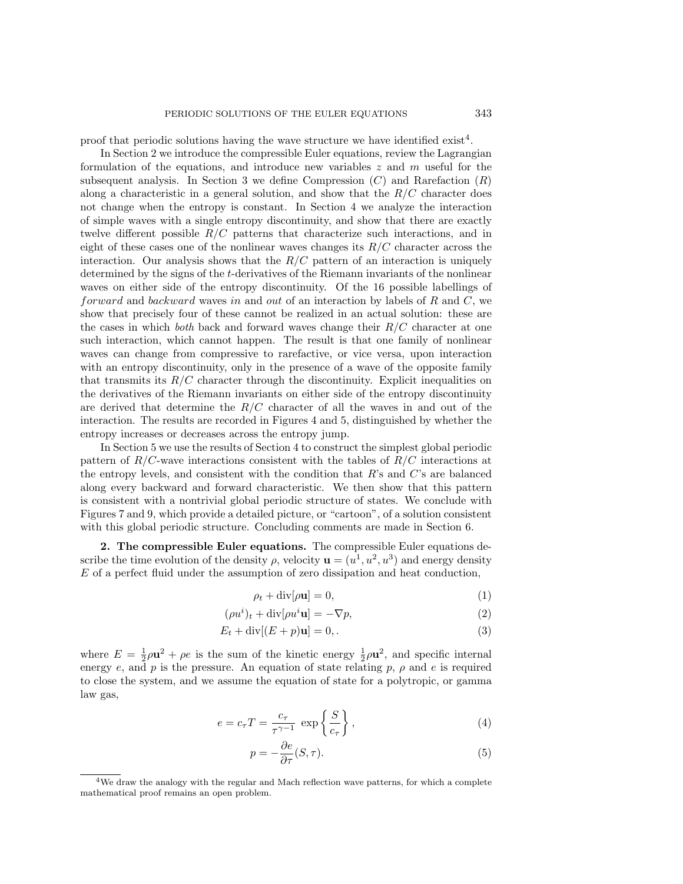proof that periodic solutions having the wave structure we have identified  $\text{exist}^4$ .

In Section 2 we introduce the compressible Euler equations, review the Lagrangian formulation of the equations, and introduce new variables  $z$  and  $m$  useful for the subsequent analysis. In Section 3 we define Compression  $(C)$  and Rarefaction  $(R)$ along a characteristic in a general solution, and show that the  $R/C$  character does not change when the entropy is constant. In Section 4 we analyze the interaction of simple waves with a single entropy discontinuity, and show that there are exactly twelve different possible  $R/C$  patterns that characterize such interactions, and in eight of these cases one of the nonlinear waves changes its  $R/C$  character across the interaction. Our analysis shows that the  $R/C$  pattern of an interaction is uniquely determined by the signs of the t-derivatives of the Riemann invariants of the nonlinear waves on either side of the entropy discontinuity. Of the 16 possible labellings of forward and backward waves in and out of an interaction by labels of  $R$  and  $C$ , we show that precisely four of these cannot be realized in an actual solution: these are the cases in which *both* back and forward waves change their R/C character at one such interaction, which cannot happen. The result is that one family of nonlinear waves can change from compressive to rarefactive, or vice versa, upon interaction with an entropy discontinuity, only in the presence of a wave of the opposite family that transmits its  $R/C$  character through the discontinuity. Explicit inequalities on the derivatives of the Riemann invariants on either side of the entropy discontinuity are derived that determine the  $R/C$  character of all the waves in and out of the interaction. The results are recorded in Figures 4 and 5, distinguished by whether the entropy increases or decreases across the entropy jump.

In Section 5 we use the results of Section 4 to construct the simplest global periodic pattern of  $R/C$ -wave interactions consistent with the tables of  $R/C$  interactions at the entropy levels, and consistent with the condition that  $R$ 's and  $C$ 's are balanced along every backward and forward characteristic. We then show that this pattern is consistent with a nontrivial global periodic structure of states. We conclude with Figures 7 and 9, which provide a detailed picture, or "cartoon", of a solution consistent with this global periodic structure. Concluding comments are made in Section 6.

2. The compressible Euler equations. The compressible Euler equations describe the time evolution of the density  $\rho$ , velocity  $\mathbf{u} = (u^1, u^2, u^3)$  and energy density E of a perfect fluid under the assumption of zero dissipation and heat conduction,

$$
\rho_t + \operatorname{div}[\rho \mathbf{u}] = 0,\tag{1}
$$

$$
(\rho u^i)_t + \text{div}[\rho u^i \mathbf{u}] = -\nabla p,\tag{2}
$$

$$
E_t + \operatorname{div}[(E+p)\mathbf{u}] = 0,\tag{3}
$$

where  $E = \frac{1}{2}\rho \mathbf{u}^2 + \rho e$  is the sum of the kinetic energy  $\frac{1}{2}\rho \mathbf{u}^2$ , and specific internal energy e, and p is the pressure. An equation of state relating p,  $\rho$  and e is required to close the system, and we assume the equation of state for a polytropic, or gamma law gas,

$$
e = c_{\tau} T = \frac{c_{\tau}}{\tau^{\gamma - 1}} \, \exp\left\{\frac{S}{c_{\tau}}\right\},\tag{4}
$$

$$
p = -\frac{\partial e}{\partial \tau}(S, \tau). \tag{5}
$$

<sup>&</sup>lt;sup>4</sup>We draw the analogy with the regular and Mach reflection wave patterns, for which a complete mathematical proof remains an open problem.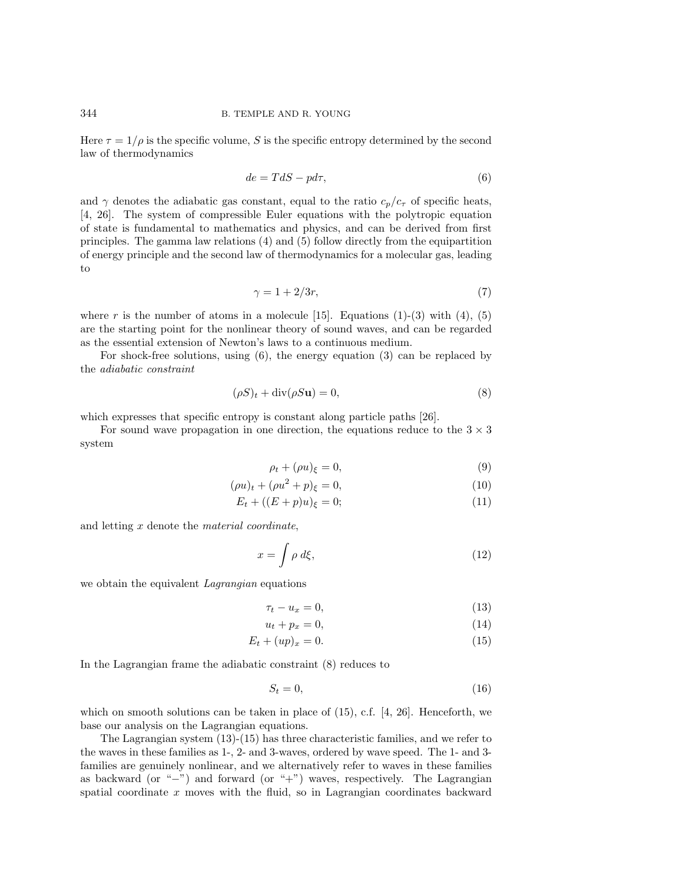Here  $\tau = 1/\rho$  is the specific volume, S is the specific entropy determined by the second law of thermodynamics

$$
de = TdS - pd\tau,\tag{6}
$$

and  $\gamma$  denotes the adiabatic gas constant, equal to the ratio  $c_p/c_\tau$  of specific heats, [4, 26]. The system of compressible Euler equations with the polytropic equation of state is fundamental to mathematics and physics, and can be derived from first principles. The gamma law relations (4) and (5) follow directly from the equipartition of energy principle and the second law of thermodynamics for a molecular gas, leading to

$$
\gamma = 1 + 2/3r,\tag{7}
$$

where r is the number of atoms in a molecule [15]. Equations (1)-(3) with (4), (5) are the starting point for the nonlinear theory of sound waves, and can be regarded as the essential extension of Newton's laws to a continuous medium.

For shock-free solutions, using (6), the energy equation (3) can be replaced by the *adiabatic constraint*

$$
(\rho S)_t + \operatorname{div}(\rho S \mathbf{u}) = 0,\tag{8}
$$

which expresses that specific entropy is constant along particle paths [26].

For sound wave propagation in one direction, the equations reduce to the  $3 \times 3$ system

$$
\rho_t + (\rho u)_\xi = 0,\tag{9}
$$

$$
(\rho u)_t + (\rho u^2 + p)_{\xi} = 0,\t\t(10)
$$

$$
E_t + ((E + p)u)_{\xi} = 0;
$$
\n(11)

and letting x denote the *material coordinate*,

$$
x = \int \rho \, d\xi,\tag{12}
$$

we obtain the equivalent *Lagrangian* equations

$$
\tau_t - u_x = 0,\t\t(13)
$$

$$
u_t + p_x = 0,\t\t(14)
$$

$$
E_t + (up)_x = 0.\t\t(15)
$$

In the Lagrangian frame the adiabatic constraint (8) reduces to

$$
S_t = 0,\t\t(16)
$$

which on smooth solutions can be taken in place of  $(15)$ , c.f. [4, 26]. Henceforth, we base our analysis on the Lagrangian equations.

The Lagrangian system (13)-(15) has three characteristic families, and we refer to the waves in these families as 1-, 2- and 3-waves, ordered by wave speed. The 1- and 3 families are genuinely nonlinear, and we alternatively refer to waves in these families as backward (or "−") and forward (or "+") waves, respectively. The Lagrangian spatial coordinate x moves with the fluid, so in Lagrangian coordinates backward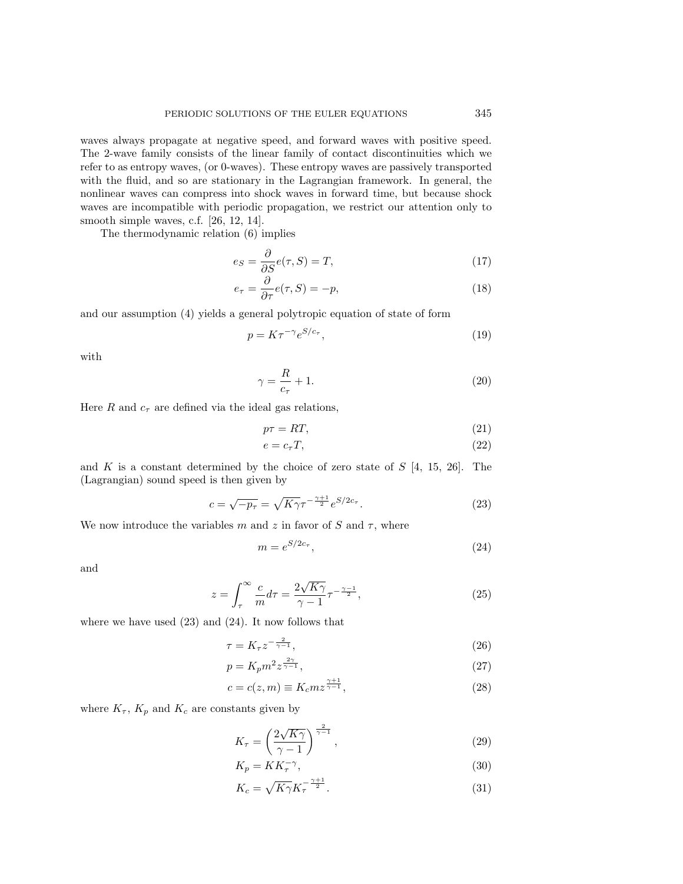waves always propagate at negative speed, and forward waves with positive speed. The 2-wave family consists of the linear family of contact discontinuities which we refer to as entropy waves, (or 0-waves). These entropy waves are passively transported with the fluid, and so are stationary in the Lagrangian framework. In general, the nonlinear waves can compress into shock waves in forward time, but because shock waves are incompatible with periodic propagation, we restrict our attention only to smooth simple waves, c.f. [26, 12, 14].

The thermodynamic relation (6) implies

$$
e_S = \frac{\partial}{\partial S} e(\tau, S) = T,\tag{17}
$$

$$
e_{\tau} = \frac{\partial}{\partial \tau} e(\tau, S) = -p,\tag{18}
$$

and our assumption (4) yields a general polytropic equation of state of form

$$
p = K\tau^{-\gamma}e^{S/c_{\tau}},\tag{19}
$$

with

$$
\gamma = \frac{R}{c_{\tau}} + 1. \tag{20}
$$

Here R and  $c_{\tau}$  are defined via the ideal gas relations,

$$
p\tau = RT,\tag{21}
$$

$$
e = c_{\tau} T,\tag{22}
$$

and K is a constant determined by the choice of zero state of  $S$  [4, 15, 26]. The (Lagrangian) sound speed is then given by

$$
c = \sqrt{-p_{\tau}} = \sqrt{K\gamma} \tau^{-\frac{\gamma+1}{2}} e^{S/2c_{\tau}}.
$$
 (23)

We now introduce the variables m and z in favor of S and  $\tau$ , where

$$
m = e^{S/2c_{\tau}},\tag{24}
$$

and

$$
z = \int_{\tau}^{\infty} \frac{c}{m} d\tau = \frac{2\sqrt{K\gamma}}{\gamma - 1} \tau^{-\frac{\gamma - 1}{2}},\tag{25}
$$

where we have used  $(23)$  and  $(24)$ . It now follows that

$$
\tau = K_{\tau} z^{-\frac{2}{\gamma - 1}},\tag{26}
$$

$$
p = K_p m^2 z^{\frac{2\gamma}{\gamma - 1}},\tag{27}
$$

$$
c = c(z, m) \equiv K_c m z^{\frac{\gamma + 1}{\gamma - 1}},\tag{28}
$$

where  $K_{\tau}$ ,  $K_p$  and  $K_c$  are constants given by

$$
K_{\tau} = \left(\frac{2\sqrt{K\gamma}}{\gamma - 1}\right)^{\frac{2}{\gamma - 1}},\tag{29}
$$

$$
K_p = KK_\tau^{-\gamma},\tag{30}
$$

$$
K_c = \sqrt{K\gamma}K_{\tau}^{-\frac{\gamma+1}{2}}.\tag{31}
$$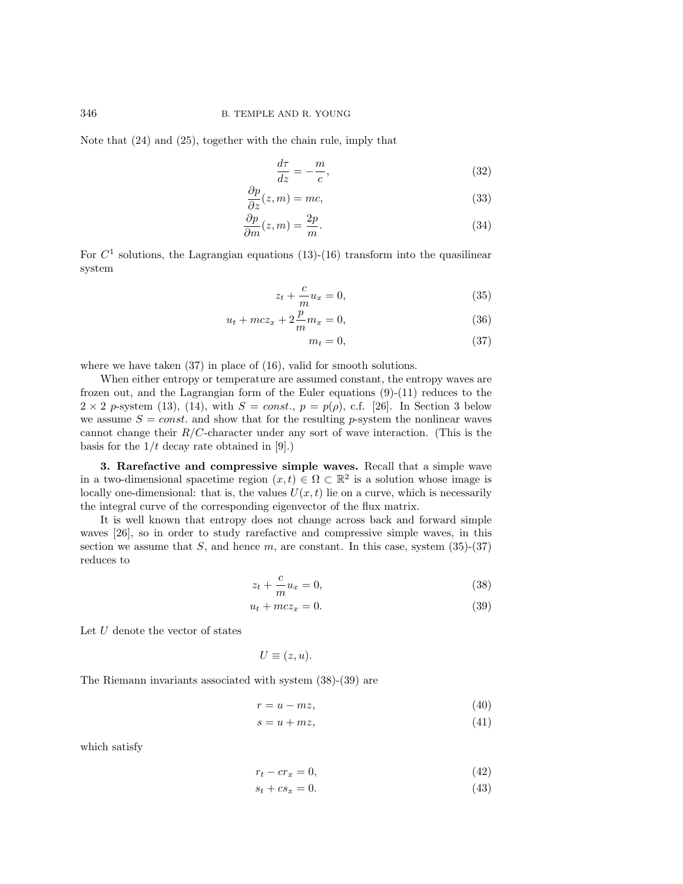Note that (24) and (25), together with the chain rule, imply that

$$
\frac{d\tau}{dz} = -\frac{m}{c},\tag{32}
$$

$$
\frac{\partial p}{\partial z}(z,m) = mc,\tag{33}
$$

$$
\frac{\partial p}{\partial m}(z,m) = \frac{2p}{m}.\tag{34}
$$

For  $C<sup>1</sup>$  solutions, the Lagrangian equations (13)-(16) transform into the quasilinear system

$$
z_t + \frac{c}{m}u_x = 0,\t\t(35)
$$

$$
u_t + mcz_x + 2\frac{p}{m}m_x = 0,\t\t(36)
$$

$$
m_t = 0,\t\t(37)
$$

where we have taken  $(37)$  in place of  $(16)$ , valid for smooth solutions.

When either entropy or temperature are assumed constant, the entropy waves are frozen out, and the Lagrangian form of the Euler equations (9)-(11) reduces to the  $2 \times 2$  p-system (13), (14), with  $S = const., p = p(\rho),$  c.f. [26]. In Section 3 below we assume  $S = const.$  and show that for the resulting p-system the nonlinear waves cannot change their  $R/C$ -character under any sort of wave interaction. (This is the basis for the  $1/t$  decay rate obtained in [9].)

3. Rarefactive and compressive simple waves. Recall that a simple wave in a two-dimensional spacetime region  $(x, t) \in \Omega \subset \mathbb{R}^2$  is a solution whose image is locally one-dimensional: that is, the values  $U(x, t)$  lie on a curve, which is necessarily the integral curve of the corresponding eigenvector of the flux matrix.

It is well known that entropy does not change across back and forward simple waves [26], so in order to study rarefactive and compressive simple waves, in this section we assume that  $S$ , and hence  $m$ , are constant. In this case, system (35)-(37) reduces to

$$
z_t + \frac{c}{m}u_x = 0,\t\t(38)
$$

$$
u_t + mcz_x = 0.\t\t(39)
$$

Let  $U$  denote the vector of states

$$
U\equiv(z,u).
$$

The Riemann invariants associated with system (38)-(39) are

$$
r = u - mz,\t\t(40)
$$

$$
s = u + mz,\tag{41}
$$

which satisfy

$$
r_t - cr_x = 0,\t\t(42)
$$

$$
s_t + c s_x = 0.\t\t(43)
$$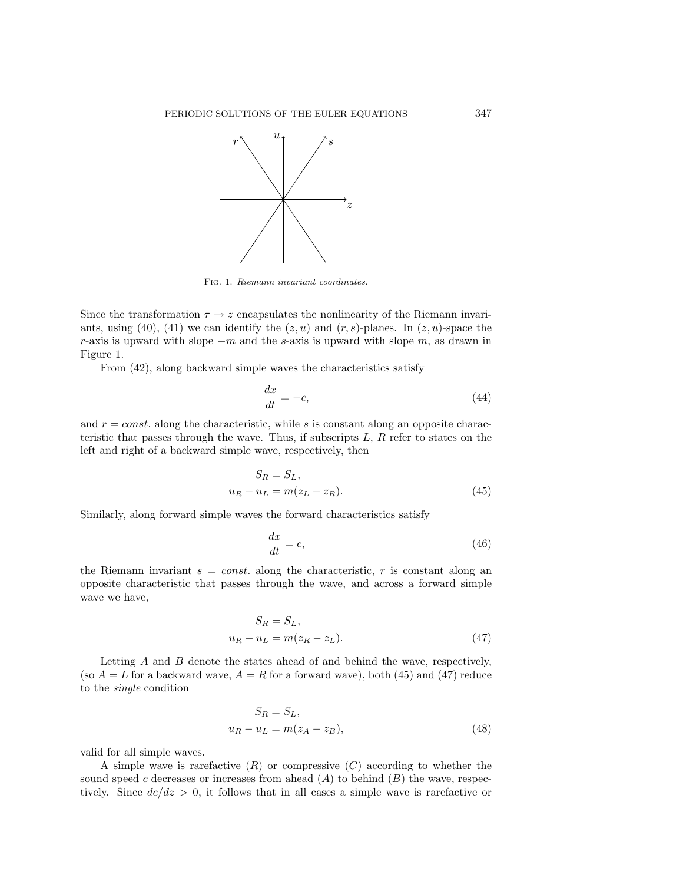

Fig. 1. Riemann invariant coordinates.

Since the transformation  $\tau \to z$  encapsulates the nonlinearity of the Riemann invariants, using (40), (41) we can identify the  $(z, u)$  and  $(r, s)$ -planes. In  $(z, u)$ -space the r-axis is upward with slope  $-m$  and the s-axis is upward with slope m, as drawn in Figure 1.

From (42), along backward simple waves the characteristics satisfy

$$
\frac{dx}{dt} = -c,\t\t(44)
$$

and  $r = const.$  along the characteristic, while s is constant along an opposite characteristic that passes through the wave. Thus, if subscripts  $L, R$  refer to states on the left and right of a backward simple wave, respectively, then

$$
S_R = S_L,
$$
  

$$
u_R - u_L = m(z_L - z_R).
$$
 (45)

Similarly, along forward simple waves the forward characteristics satisfy

$$
\frac{dx}{dt} = c,\t\t(46)
$$

the Riemann invariant  $s = const.$  along the characteristic, r is constant along an opposite characteristic that passes through the wave, and across a forward simple wave we have,

$$
S_R = S_L,
$$
  

$$
u_R - u_L = m(z_R - z_L).
$$
 (47)

Letting  $A$  and  $B$  denote the states ahead of and behind the wave, respectively, (so  $A = L$  for a backward wave,  $A = R$  for a forward wave), both (45) and (47) reduce to the *single* condition

$$
S_R = S_L,
$$
  

$$
u_R - u_L = m(z_A - z_B),
$$
\n(48)

valid for all simple waves.

A simple wave is rarefactive  $(R)$  or compressive  $(C)$  according to whether the sound speed c decreases or increases from ahead  $(A)$  to behind  $(B)$  the wave, respectively. Since  $dc/dz > 0$ , it follows that in all cases a simple wave is rarefactive or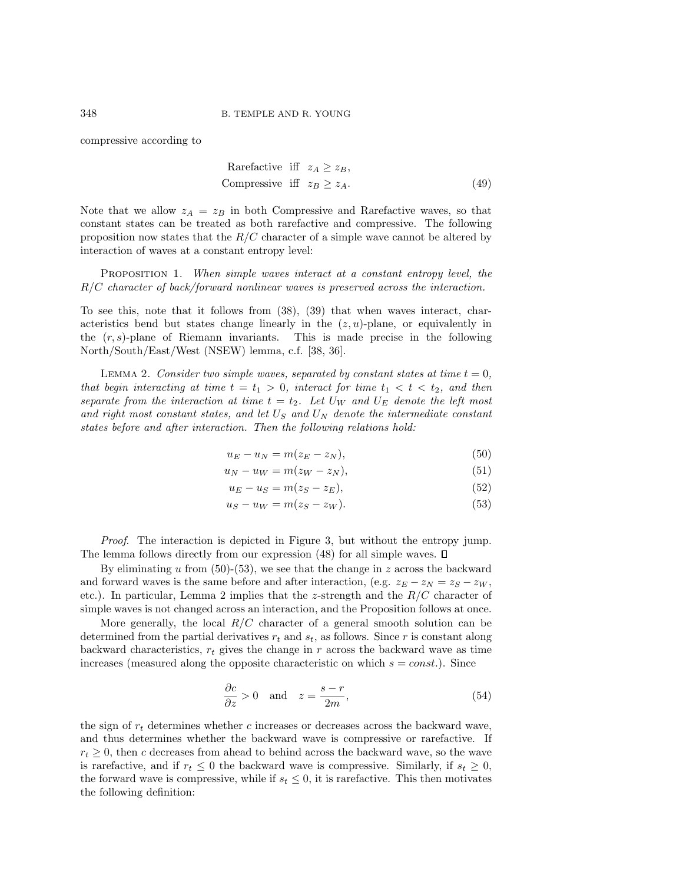compressive according to

$$
\begin{aligned}\n\text{Rarefactive iff } z_A \geq z_B, \\
\text{Compressive iff } z_B \geq z_A. \n\end{aligned} \tag{49}
$$

Note that we allow  $z_A = z_B$  in both Compressive and Rarefactive waves, so that constant states can be treated as both rarefactive and compressive. The following proposition now states that the  $R/C$  character of a simple wave cannot be altered by interaction of waves at a constant entropy level:

Proposition 1. *When simple waves interact at a constant entropy level, the* R/C *character of back/forward nonlinear waves is preserved across the interaction.*

To see this, note that it follows from (38), (39) that when waves interact, characteristics bend but states change linearly in the  $(z, u)$ -plane, or equivalently in the  $(r, s)$ -plane of Riemann invariants. This is made precise in the following North/South/East/West (NSEW) lemma, c.f. [38, 36].

LEMMA 2. *Consider two simple waves, separated by constant states at time*  $t = 0$ *, that begin interacting at time*  $t = t_1 > 0$ *, interact for time*  $t_1 < t < t_2$ *, and then separate from the interaction at time*  $t = t_2$ *. Let*  $U_W$  *and*  $U_E$  *denote the left most and right most constant states, and let* U<sup>S</sup> *and* U<sup>N</sup> *denote the intermediate constant states before and after interaction. Then the following relations hold:*

$$
u_E - u_N = m(z_E - z_N),\tag{50}
$$

$$
u_N - u_W = m(z_W - z_N),\tag{51}
$$

$$
u_E - u_S = m(z_S - z_E),\tag{52}
$$

$$
u_S - u_W = m(z_S - z_W). \tag{53}
$$

*Proof*. The interaction is depicted in Figure 3, but without the entropy jump. The lemma follows directly from our expression  $(48)$  for all simple waves.  $\Box$ 

By eliminating u from  $(50)-(53)$ , we see that the change in z across the backward and forward waves is the same before and after interaction, (e.g.  $z_E - z_N = z_S - z_W$ , etc.). In particular, Lemma 2 implies that the z-strength and the  $R/C$  character of simple waves is not changed across an interaction, and the Proposition follows at once.

More generally, the local  $R/C$  character of a general smooth solution can be determined from the partial derivatives  $r_t$  and  $s_t$ , as follows. Since r is constant along backward characteristics,  $r_t$  gives the change in r across the backward wave as time increases (measured along the opposite characteristic on which  $s = const.$ ). Since

$$
\frac{\partial c}{\partial z} > 0 \quad \text{and} \quad z = \frac{s - r}{2m},\tag{54}
$$

the sign of  $r_t$  determines whether c increases or decreases across the backward wave, and thus determines whether the backward wave is compressive or rarefactive. If  $r_t \geq 0$ , then c decreases from ahead to behind across the backward wave, so the wave is rarefactive, and if  $r_t \leq 0$  the backward wave is compressive. Similarly, if  $s_t \geq 0$ , the forward wave is compressive, while if  $s_t \leq 0$ , it is rarefactive. This then motivates the following definition: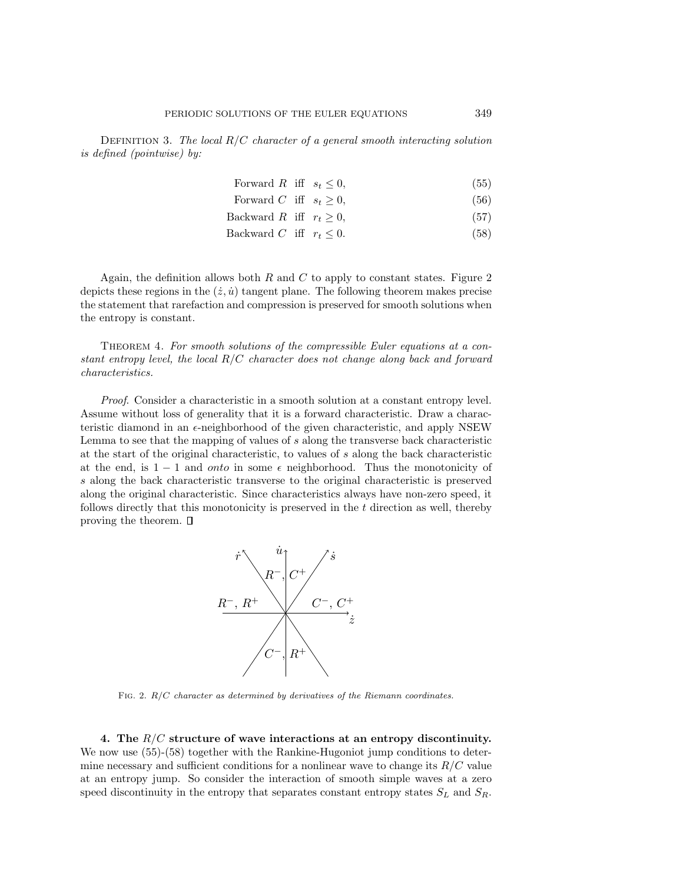Definition 3. *The local* R/C *character of a general smooth interacting solution is defined (pointwise) by:*

| Forward R iff $s_t \leq 0$ , |  | (55) |
|------------------------------|--|------|
| Forward C iff $s_t \geq 0$ , |  | (56) |

- Backward R iff  $r_t \geq 0$ , (57)
- Backward C iff  $r_t \leq 0$ . (58)

Again, the definition allows both  $R$  and  $C$  to apply to constant states. Figure 2 depicts these regions in the  $(\dot{z}, \dot{u})$  tangent plane. The following theorem makes precise the statement that rarefaction and compression is preserved for smooth solutions when the entropy is constant.

Theorem 4. *For smooth solutions of the compressible Euler equations at a constant entropy level, the local* R/C *character does not change along back and forward characteristics.*

*Proof*. Consider a characteristic in a smooth solution at a constant entropy level. Assume without loss of generality that it is a forward characteristic. Draw a characteristic diamond in an  $\epsilon$ -neighborhood of the given characteristic, and apply NSEW Lemma to see that the mapping of values of s along the transverse back characteristic at the start of the original characteristic, to values of s along the back characteristic at the end, is  $1 - 1$  and onto in some  $\epsilon$  neighborhood. Thus the monotonicity of s along the back characteristic transverse to the original characteristic is preserved along the original characteristic. Since characteristics always have non-zero speed, it follows directly that this monotonicity is preserved in the t direction as well, thereby proving the theorem.  $\square$ 



FIG. 2. *R/C* character as determined by derivatives of the Riemann coordinates.

4. The  $R/C$  structure of wave interactions at an entropy discontinuity. We now use  $(55)-(58)$  together with the Rankine-Hugoniot jump conditions to determine necessary and sufficient conditions for a nonlinear wave to change its  $R/C$  value at an entropy jump. So consider the interaction of smooth simple waves at a zero speed discontinuity in the entropy that separates constant entropy states  $S_L$  and  $S_R$ .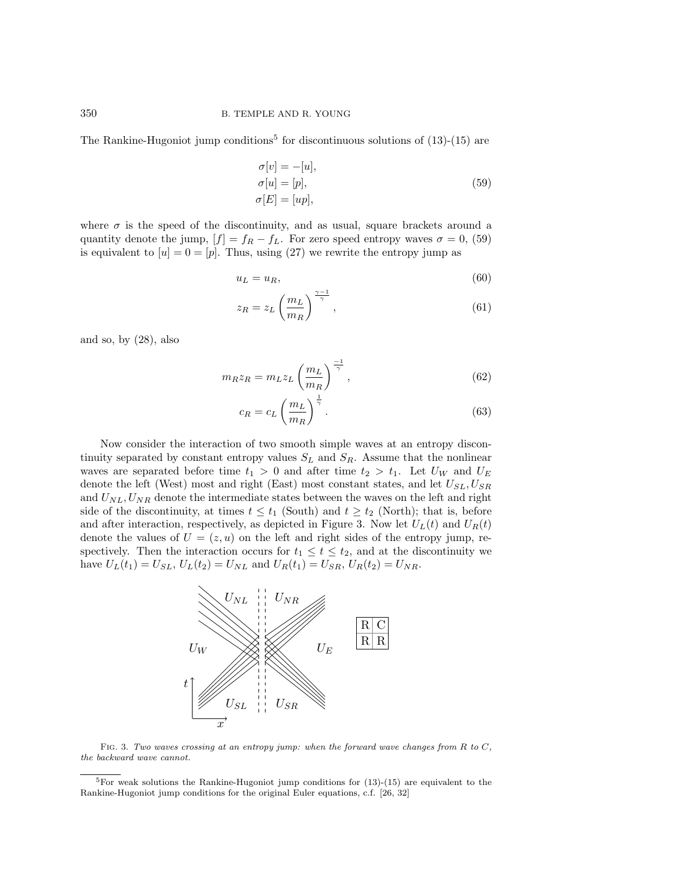The Rankine-Hugoniot jump conditions<sup>5</sup> for discontinuous solutions of  $(13)-(15)$  are

$$
\sigma[v] = -[u],\n\sigma[u] = [p],\n\sigma[E] = [up],
$$
\n(59)

where  $\sigma$  is the speed of the discontinuity, and as usual, square brackets around a quantity denote the jump,  $[f] = f_R - f_L$ . For zero speed entropy waves  $\sigma = 0$ , (59) is equivalent to  $[u]=0=[p]$ . Thus, using (27) we rewrite the entropy jump as

$$
u_L = u_R,\t\t(60)
$$

$$
z_R = z_L \left(\frac{m_L}{m_R}\right)^{\frac{\gamma - 1}{\gamma}},\tag{61}
$$

and so, by (28), also

$$
m_R z_R = m_L z_L \left(\frac{m_L}{m_R}\right)^{\frac{-1}{\gamma}},\tag{62}
$$

$$
c_R = c_L \left(\frac{m_L}{m_R}\right)^{\frac{1}{\gamma}}.
$$
\n(63)

Now consider the interaction of two smooth simple waves at an entropy discontinuity separated by constant entropy values  $S_L$  and  $S_R$ . Assume that the nonlinear waves are separated before time  $t_1 > 0$  and after time  $t_2 > t_1$ . Let  $U_W$  and  $U_E$ denote the left (West) most and right (East) most constant states, and let  $U_{SL}$ ,  $U_{SR}$ and  $U_{NL}$ ,  $U_{NR}$  denote the intermediate states between the waves on the left and right side of the discontinuity, at times  $t \leq t_1$  (South) and  $t \geq t_2$  (North); that is, before and after interaction, respectively, as depicted in Figure 3. Now let  $U_L(t)$  and  $U_R(t)$ denote the values of  $U = (z, u)$  on the left and right sides of the entropy jump, respectively. Then the interaction occurs for  $t_1 \leq t \leq t_2$ , and at the discontinuity we have  $U_L(t_1) = U_{SL}$ ,  $U_L(t_2) = U_{NL}$  and  $U_R(t_1) = U_{SR}$ ,  $U_R(t_2) = U_{NR}$ .



Fig. 3. Two waves crossing at an entropy jump: when the forward wave changes from *R* to *C*, the backward wave cannot.

 $5$ For weak solutions the Rankine-Hugoniot jump conditions for  $(13)-(15)$  are equivalent to the Rankine-Hugoniot jump conditions for the original Euler equations, c.f. [26, 32]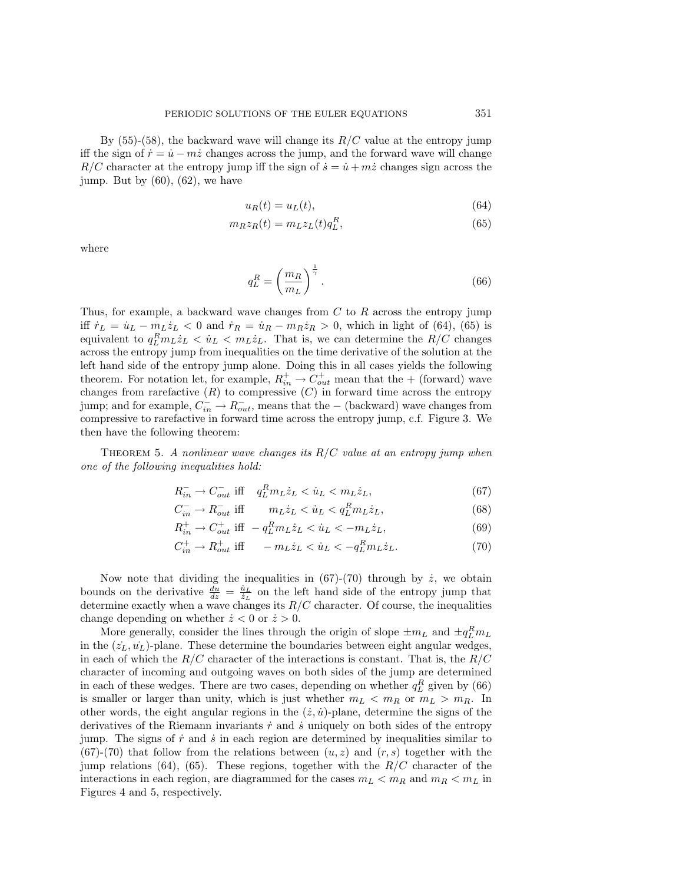By  $(55)-(58)$ , the backward wave will change its  $R/C$  value at the entropy jump iff the sign of  $\dot{r} = \dot{u} - m\dot{z}$  changes across the jump, and the forward wave will change  $R/C$  character at the entropy jump iff the sign of  $\dot{s} = \dot{u} + m\dot{z}$  changes sign across the jump. But by  $(60)$ ,  $(62)$ , we have

$$
u_R(t) = u_L(t),\tag{64}
$$

$$
m_R z_R(t) = m_L z_L(t) q_L^R,\tag{65}
$$

where

$$
q_L^R = \left(\frac{m_R}{m_L}\right)^{\frac{1}{\gamma}}.\tag{66}
$$

Thus, for example, a backward wave changes from  $C$  to  $R$  across the entropy jump iff  $\dot{r}_L = \dot{u}_L - m_L \dot{z}_L < 0$  and  $\dot{r}_R = \dot{u}_R - m_R \dot{z}_R > 0$ , which in light of (64), (65) is equivalent to  $q_L^R m_L \dot{z}_L < \dot{u}_L < m_L \dot{z}_L$ . That is, we can determine the  $R/C$  changes across the entropy jump from inequalities on the time derivative of the solution at the left hand side of the entropy jump alone. Doing this in all cases yields the following theorem. For notation let, for example,  $R_{in}^{+} \rightarrow C_{out}^{+}$  mean that the + (forward) wave changes from rarefactive  $(R)$  to compressive  $(C)$  in forward time across the entropy jump; and for example,  $C_{in}^- \to R_{out}^-$ , means that the – (backward) wave changes from compressive to rarefactive in forward time across the entropy jump, c.f. Figure 3. We then have the following theorem:

Theorem 5. *A nonlinear wave changes its* R/C *value at an entropy jump when one of the following inequalities hold:*

$$
R_{in}^- \to C_{out}^- \text{ iff } q_L^R m_L \dot{z}_L < \dot{u}_L < m_L \dot{z}_L,\tag{67}
$$

$$
C_{in}^- \to R_{out}^- \text{ iff } \qquad m_L \dot{z}_L < \dot{u}_L < q_L^R m_L \dot{z}_L,\tag{68}
$$

$$
R_{in}^{+} \to C_{out}^{+} \text{ iff } -q_L^R m_L \dot{z}_L < \dot{u}_L < -m_L \dot{z}_L, \qquad (69)
$$

$$
C_{in}^{+} \to R_{out}^{+} \text{ iff } -m_{L} \dot{z}_{L} < \dot{u}_{L} < -q_{L}^{R} m_{L} \dot{z}_{L}. \tag{70}
$$

Now note that dividing the inequalities in  $(67)-(70)$  through by  $\dot{z}$ , we obtain bounds on the derivative  $\frac{du}{dz} = \frac{u_L}{z_L}$  on the left hand side of the entropy jump that determine exactly when a wave changes its  $R/C$  character. Of course, the inequalities change depending on whether  $\dot{z} < 0$  or  $\dot{z} > 0$ .

More generally, consider the lines through the origin of slope  $\pm m_L$  and  $\pm q_L^R m_L$ in the  $(\dot{z}_L, \dot{u}_L)$ -plane. These determine the boundaries between eight angular wedges, in each of which the  $R/C$  character of the interactions is constant. That is, the  $R/C$ character of incoming and outgoing waves on both sides of the jump are determined in each of these wedges. There are two cases, depending on whether  $q_L^R$  given by (66) is smaller or larger than unity, which is just whether  $m_L < m_R$  or  $m_L > m_R$ . In other words, the eight angular regions in the  $(\dot{z}, \dot{u})$ -plane, determine the signs of the derivatives of the Riemann invariants  $\dot{r}$  and  $\dot{s}$  uniquely on both sides of the entropy jump. The signs of  $\dot{r}$  and  $\dot{s}$  in each region are determined by inequalities similar to  $(67)-(70)$  that follow from the relations between  $(u, z)$  and  $(r, s)$  together with the jump relations (64), (65). These regions, together with the  $R/C$  character of the interactions in each region, are diagrammed for the cases  $m_L < m_R$  and  $m_R < m_L$  in Figures 4 and 5, respectively.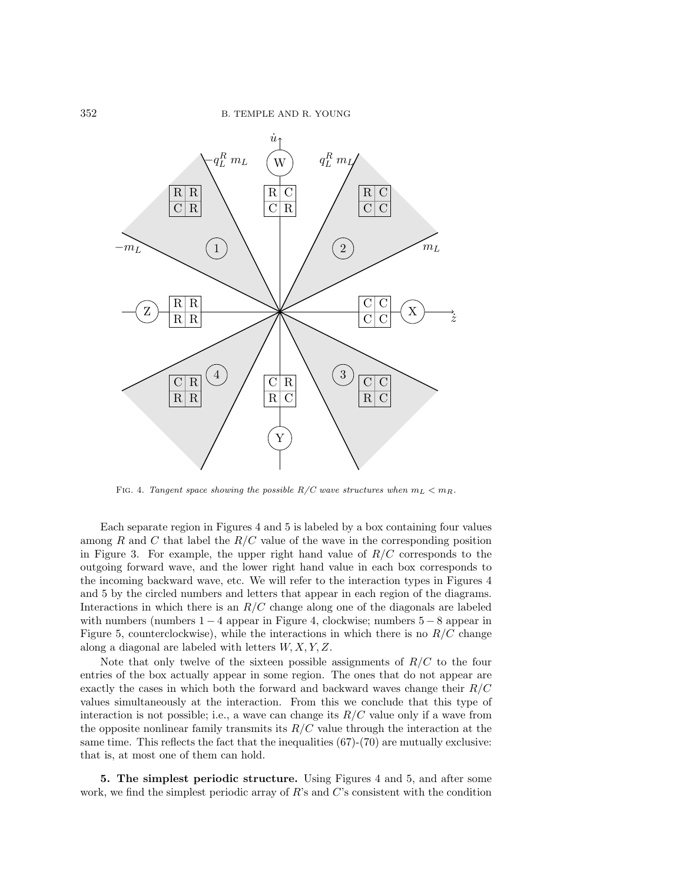

FIG. 4. Tangent space showing the possible  $R/C$  wave structures when  $m_L < m_R$ .

Each separate region in Figures 4 and 5 is labeled by a box containing four values among R and C that label the  $R/C$  value of the wave in the corresponding position in Figure 3. For example, the upper right hand value of  $R/C$  corresponds to the outgoing forward wave, and the lower right hand value in each box corresponds to the incoming backward wave, etc. We will refer to the interaction types in Figures 4 and 5 by the circled numbers and letters that appear in each region of the diagrams. Interactions in which there is an  $R/C$  change along one of the diagonals are labeled with numbers (numbers  $1 - 4$  appear in Figure 4, clockwise; numbers  $5 - 8$  appear in Figure 5, counterclockwise), while the interactions in which there is no  $R/C$  change along a diagonal are labeled with letters  $W, X, Y, Z$ .

Note that only twelve of the sixteen possible assignments of  $R/C$  to the four entries of the box actually appear in some region. The ones that do not appear are exactly the cases in which both the forward and backward waves change their  $R/C$ values simultaneously at the interaction. From this we conclude that this type of interaction is not possible; i.e., a wave can change its  $R/C$  value only if a wave from the opposite nonlinear family transmits its  $R/C$  value through the interaction at the same time. This reflects the fact that the inequalities  $(67)-(70)$  are mutually exclusive: that is, at most one of them can hold.

5. The simplest periodic structure. Using Figures 4 and 5, and after some work, we find the simplest periodic array of  $R$ 's and  $C$ 's consistent with the condition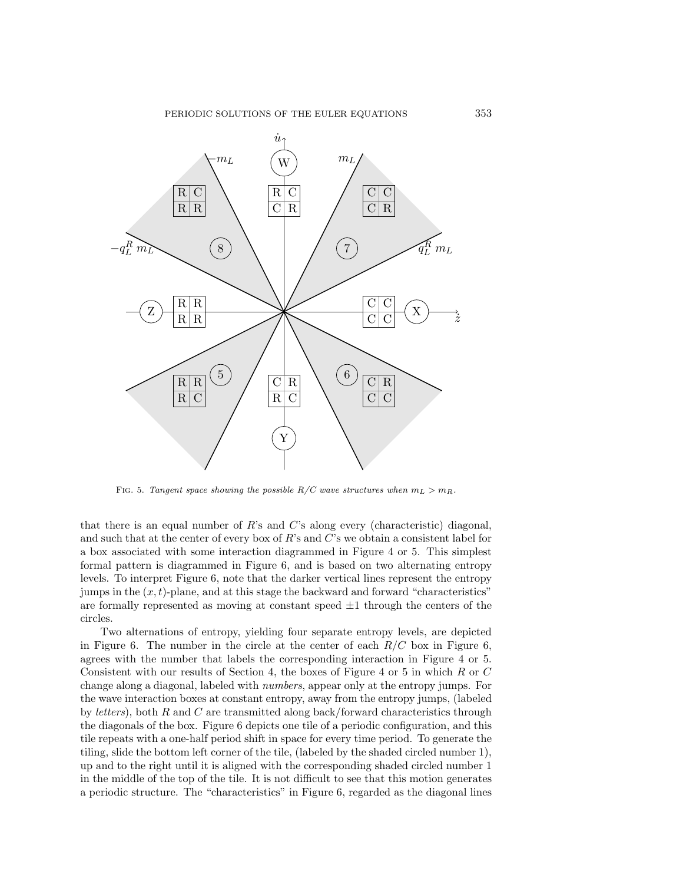

FIG. 5. Tangent space showing the possible  $R/C$  wave structures when  $m_L > m_R$ .

that there is an equal number of  $R$ 's and  $C$ 's along every (characteristic) diagonal, and such that at the center of every box of  $R$ 's and  $C$ 's we obtain a consistent label for a box associated with some interaction diagrammed in Figure 4 or 5. This simplest formal pattern is diagrammed in Figure 6, and is based on two alternating entropy levels. To interpret Figure 6, note that the darker vertical lines represent the entropy jumps in the  $(x, t)$ -plane, and at this stage the backward and forward "characteristics" are formally represented as moving at constant speed  $\pm 1$  through the centers of the circles.

Two alternations of entropy, yielding four separate entropy levels, are depicted in Figure 6. The number in the circle at the center of each  $R/C$  box in Figure 6, agrees with the number that labels the corresponding interaction in Figure 4 or 5. Consistent with our results of Section 4, the boxes of Figure 4 or 5 in which R or C change along a diagonal, labeled with *numbers*, appear only at the entropy jumps. For the wave interaction boxes at constant entropy, away from the entropy jumps, (labeled by *letters*), both R and C are transmitted along back/forward characteristics through the diagonals of the box. Figure 6 depicts one tile of a periodic configuration, and this tile repeats with a one-half period shift in space for every time period. To generate the tiling, slide the bottom left corner of the tile, (labeled by the shaded circled number 1), up and to the right until it is aligned with the corresponding shaded circled number 1 in the middle of the top of the tile. It is not difficult to see that this motion generates a periodic structure. The "characteristics" in Figure 6, regarded as the diagonal lines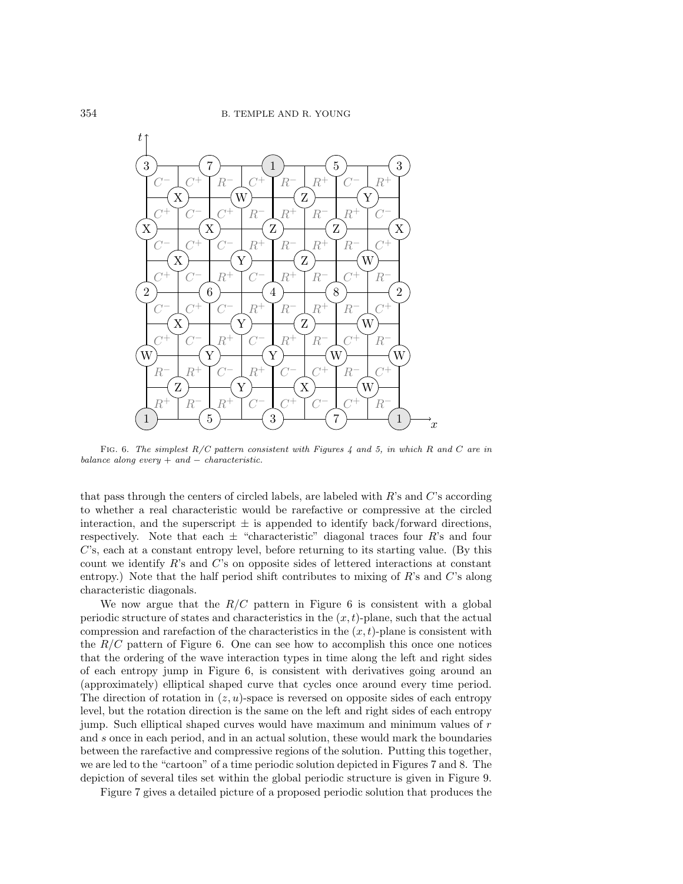

Fig. 6. The simplest R/C pattern consistent with Figures 4 and 5, in which *R* and *C* are in balance along every  $+$  and  $-$  characteristic.

that pass through the centers of circled labels, are labeled with  $R$ 's and  $C$ 's according to whether a real characteristic would be rarefactive or compressive at the circled interaction, and the superscript  $\pm$  is appended to identify back/forward directions, respectively. Note that each  $\pm$  "characteristic" diagonal traces four R's and four C's, each at a constant entropy level, before returning to its starting value. (By this count we identify  $R$ 's and  $C$ 's on opposite sides of lettered interactions at constant entropy.) Note that the half period shift contributes to mixing of R's and C's along characteristic diagonals.

We now argue that the  $R/C$  pattern in Figure 6 is consistent with a global periodic structure of states and characteristics in the  $(x, t)$ -plane, such that the actual compression and rarefaction of the characteristics in the  $(x, t)$ -plane is consistent with the  $R/C$  pattern of Figure 6. One can see how to accomplish this once one notices that the ordering of the wave interaction types in time along the left and right sides of each entropy jump in Figure 6, is consistent with derivatives going around an (approximately) elliptical shaped curve that cycles once around every time period. The direction of rotation in  $(z, u)$ -space is reversed on opposite sides of each entropy level, but the rotation direction is the same on the left and right sides of each entropy jump. Such elliptical shaped curves would have maximum and minimum values of r and s once in each period, and in an actual solution, these would mark the boundaries between the rarefactive and compressive regions of the solution. Putting this together, we are led to the "cartoon" of a time periodic solution depicted in Figures 7 and 8. The depiction of several tiles set within the global periodic structure is given in Figure 9.

Figure 7 gives a detailed picture of a proposed periodic solution that produces the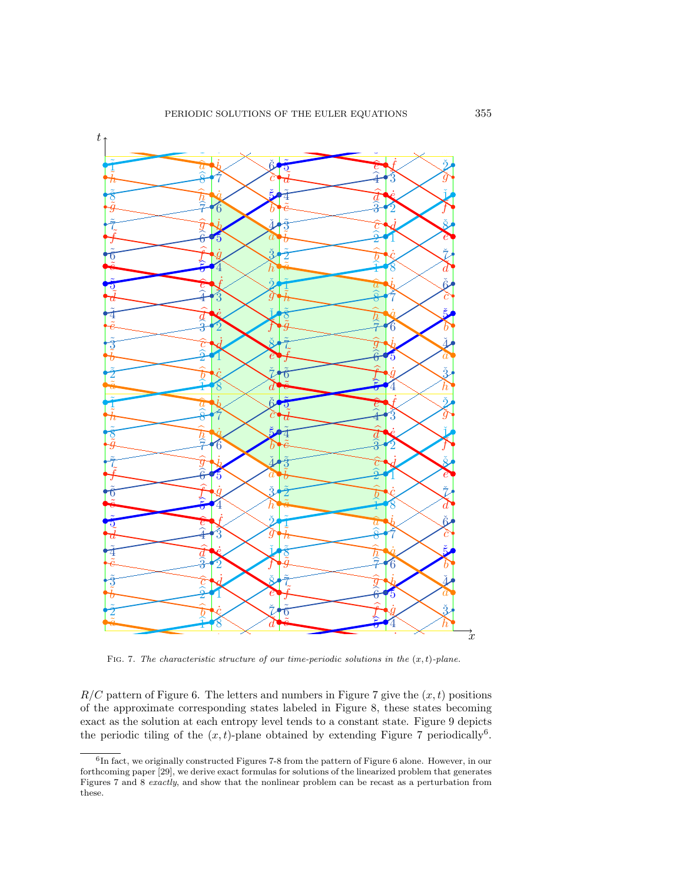

∶v<br>∍ŀ eriodic tiling of the  $(x,$ pattern of Figure 6. The letters and  $R/C$  pattern of Figure 6. The letters and numbers in Figure 7 give the  $(x, t)$  positions of the approximate corresponding states labeled in Figure 8, these states becoming as the solution at each<br>  $\frac{1}{2}$  interiodic tiling of the  $(x,$ or the approximate corresponding states labeled in Figure 8, these states becoming<br>exact as the solution at each entropy level tends to a constant state. Figure 9 depicts !<br>} *h*˙ *h*ˇ ª<br>i∩ amed by extending **r**ig numbers in Figure 7 give the  $(x, t)$ tends to a constant state ained by extending Fig !<br>3  $R/C$  pattern of Figure 6. The letters and numbers in Figure 7 give the  $(x, t)$  positions the periodic tiling of the  $(x, t)$ -plane obtained by extending Figure 7 periodically<sup>6</sup>.

Figures 7 and 8 *exactly*, and show that the nonlinear problem can be recast as a perturbation from these.  $\frac{6}{6}$ In fact, we originally constructed Figures 7-8 from the pattern of Figure 6 alone. However, in our home pattern of  $\frac{6}{6}$  and  $\frac{1}{6}$  in the pattern of the linearized problem that concretes for the only a paper [29], we derive exact formulas for solutions of the linearized problem that generates<br>for the linearized problem that generates formulas for solutions of the linearized problem that generates<br>Figures these.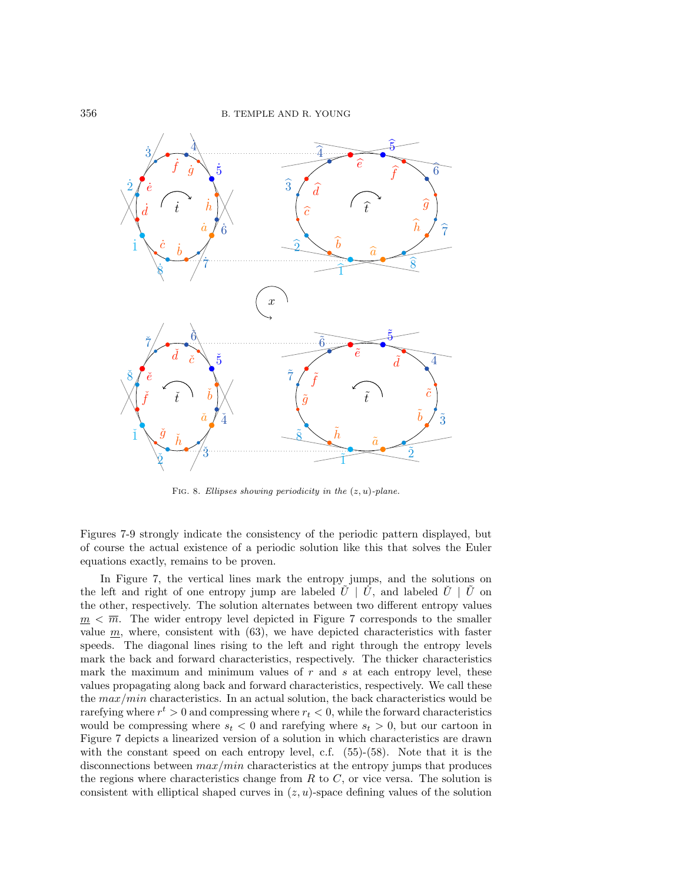

Fig. 8. Ellipses showing periodicity in the (*z, u*)-plane.

Figures 7-9 strongly indicate the consistency of the periodic pattern displayed, but of course the actual existence of a periodic solution like this that solves the Euler equations exactly, remains to be proven.

In Figure 7, the vertical lines mark the entropy jumps, and the solutions on the left and right of one entropy jump are labeled  $U \mid U$ , and labeled  $\hat{U} \mid U$  on the other, respectively. The solution alternates between two different entropy values  $m < \overline{m}$ . The wider entropy level depicted in Figure 7 corresponds to the smaller value  $m$ , where, consistent with  $(63)$ , we have depicted characteristics with faster speeds. The diagonal lines rising to the left and right through the entropy levels mark the back and forward characteristics, respectively. The thicker characteristics mark the maximum and minimum values of  $r$  and  $s$  at each entropy level, these values propagating along back and forward characteristics, respectively. We call these the  $max/min$  characteristics. In an actual solution, the back characteristics would be rarefying where  $r^t > 0$  and compressing where  $r_t < 0$ , while the forward characteristics would be compressing where  $s_t < 0$  and rarefying where  $s_t > 0$ , but our cartoon in Figure 7 depicts a linearized version of a solution in which characteristics are drawn with the constant speed on each entropy level, c.f. (55)-(58). Note that it is the disconnections between  $max/min$  characteristics at the entropy jumps that produces the regions where characteristics change from  $R$  to  $C$ , or vice versa. The solution is consistent with elliptical shaped curves in  $(z, u)$ -space defining values of the solution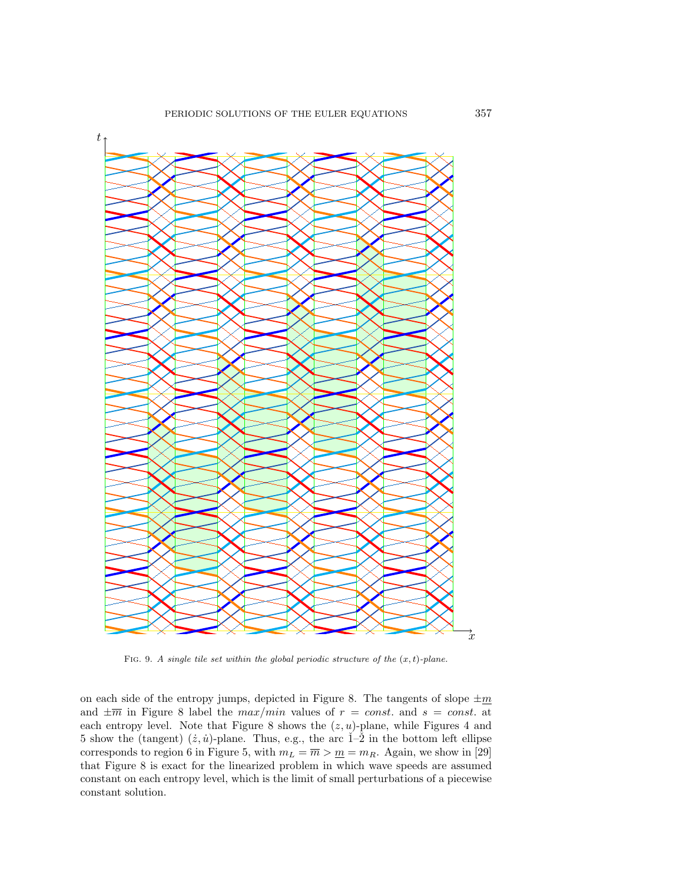

FIG. 9. A single tile set within the global periodic structure of the  $(x, t)$ -plane.

on each side of the entropy jumps, depicted in Figure 8. The tangents of slope  $\pm \underline{m}$ and  $\pm \overline{m}$  in Figure 8 label the  $max/min$  values of  $r = const.$  and  $s = const.$  at each entropy level. Note that Figure 8 shows the  $(z, u)$ -plane, while Figures 4 and 5 show the (tangent)  $(\dot{z}, \dot{u})$ -plane. Thus, e.g., the arc  $\check{1}$ -2 in the bottom left ellipse corresponds to region 6 in Figure 5, with  $m_L = \overline{m} > \underline{m} = m_R$ . Again, we show in [29] that Figure 8 is exact for the linearized problem in which wave speeds are assumed constant on each entropy level, which is the limit of small perturbations of a piecewise constant solution.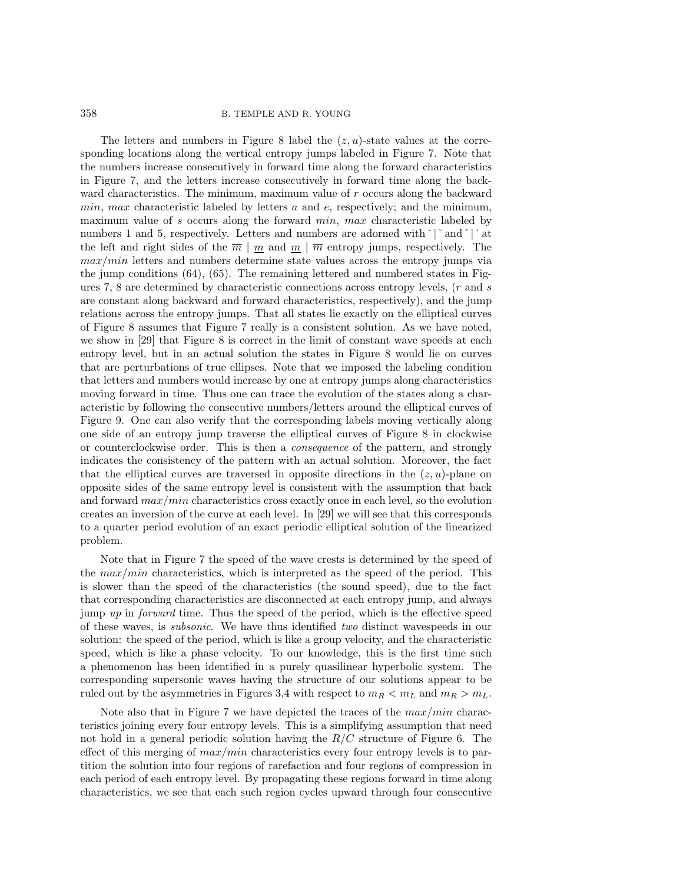The letters and numbers in Figure 8 label the  $(z, u)$ -state values at the corresponding locations along the vertical entropy jumps labeled in Figure 7. Note that the numbers increase consecutively in forward time along the forward characteristics in Figure 7, and the letters increase consecutively in forward time along the backward characteristics. The minimum, maximum value of r occurs along the backward  $min, max$  characteristic labeled by letters  $a$  and  $e$ , respectively; and the minimum, maximum value of s occurs along the forward *min*, max characteristic labeled by numbers 1 and 5, respectively. Letters and numbers are adorned with  $\check{\ }$   $\check{\ }$  and  $\hat{\ }$  and  $\check{\ }$  and  $\check{\ }$  and  $\check{\ }$  and  $\check{\ }$  and  $\check{\ }$  and  $\check{\ }$  and  $\check{\ }$  and  $\check{\ }$  and  $\check{\ }$  and  $\check{\ }$  and  $\check{\ }$  and  $\check$ the left and right sides of the  $\overline{m}$  | m and  $m \mid \overline{m}$  entropy jumps, respectively. The  $max/min$  letters and numbers determine state values across the entropy jumps via the jump conditions (64), (65). The remaining lettered and numbered states in Figures 7, 8 are determined by characteristic connections across entropy levels, (r and s are constant along backward and forward characteristics, respectively), and the jump relations across the entropy jumps. That all states lie exactly on the elliptical curves of Figure 8 assumes that Figure 7 really is a consistent solution. As we have noted, we show in [29] that Figure 8 is correct in the limit of constant wave speeds at each entropy level, but in an actual solution the states in Figure 8 would lie on curves that are perturbations of true ellipses. Note that we imposed the labeling condition that letters and numbers would increase by one at entropy jumps along characteristics moving forward in time. Thus one can trace the evolution of the states along a characteristic by following the consecutive numbers/letters around the elliptical curves of Figure 9. One can also verify that the corresponding labels moving vertically along one side of an entropy jump traverse the elliptical curves of Figure 8 in clockwise or counterclockwise order. This is then a *consequence* of the pattern, and strongly indicates the consistency of the pattern with an actual solution. Moreover, the fact that the elliptical curves are traversed in opposite directions in the  $(z, u)$ -plane on opposite sides of the same entropy level is consistent with the assumption that back and forward  $max/min$  characteristics cross exactly once in each level, so the evolution creates an inversion of the curve at each level. In [29] we will see that this corresponds to a quarter period evolution of an exact periodic elliptical solution of the linearized problem.

Note that in Figure 7 the speed of the wave crests is determined by the speed of the  $max/min$  characteristics, which is interpreted as the speed of the period. This is slower than the speed of the characteristics (the sound speed), due to the fact that corresponding characteristics are disconnected at each entropy jump, and always jump *up* in *forward* time. Thus the speed of the period, which is the effective speed of these waves, is *subsonic*. We have thus identified *two* distinct wavespeeds in our solution: the speed of the period, which is like a group velocity, and the characteristic speed, which is like a phase velocity. To our knowledge, this is the first time such a phenomenon has been identified in a purely quasilinear hyperbolic system. The corresponding supersonic waves having the structure of our solutions appear to be ruled out by the asymmetries in Figures 3,4 with respect to  $m_R < m_L$  and  $m_R > m_L$ .

Note also that in Figure 7 we have depicted the traces of the  $max/min$  characteristics joining every four entropy levels. This is a simplifying assumption that need not hold in a general periodic solution having the  $R/C$  structure of Figure 6. The effect of this merging of  $max/min$  characteristics every four entropy levels is to partition the solution into four regions of rarefaction and four regions of compression in each period of each entropy level. By propagating these regions forward in time along characteristics, we see that each such region cycles upward through four consecutive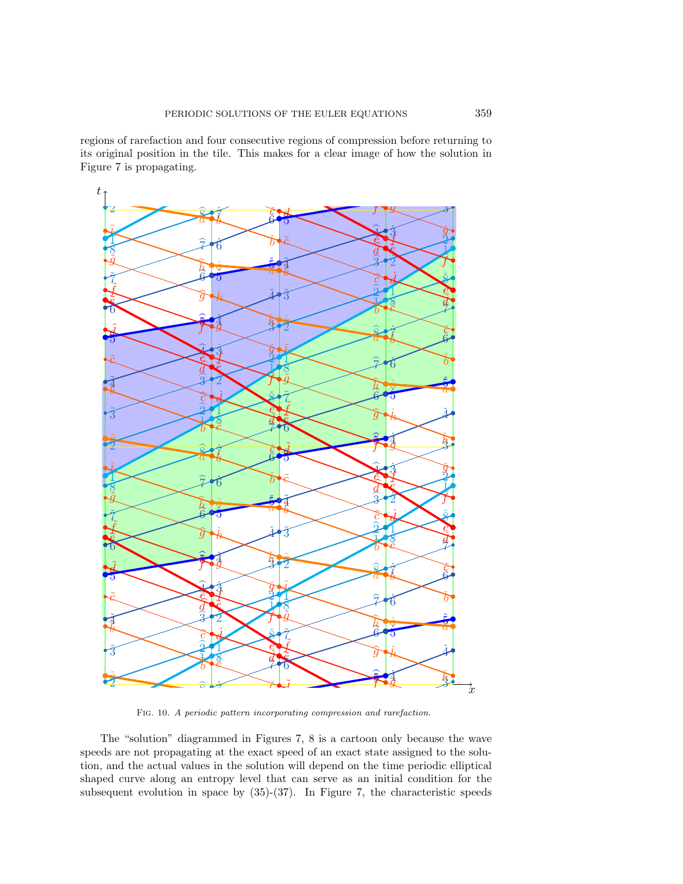regions of rarefaction and four consecutive regions of compression before returning to its original position in the tile. This makes for a clear image of how the solution in<br>Figure  $\overline{z}$  is proposating Figure 7 is propagating. ˇ1 d fou<br>ان<del>ا</del> مط **i** to the consecutive regions of compression s of rarefaction and four consecutive regions of compression before returns that  $\frac{d}{dx}$   $\frac{d}{dx}$  $\cdot$   $\cdot$   $\cdot$ 



Figure 7, the dividend in space by  $(35)-(37)$ . In Figure 7, the and the actual values in the solution will depend on the time periodic<br>d curve along an entropy level that can serve as an initial condition ne "solution" diagrammed in Figures *i*, *8* is a cartoon only because<br>s are not propagating at the exact speed of an exact state assigned to The "solution" diagrammed in Figures 7, 8 is a cartoon only because the wave **tion**, and the actual values in the solution will depend on the time periodic elliptical change of a property level that can come as an initial condition for the subsequent evolution in space by  $(35)-(37)$ . In Figure 7, the characteristic speeds speeds are not propagating at the exact speed of an exact state assigned to the solution and the extual values in the solution will depend on the time periodic elliptical shaped curve along an entropy level that can serve as an initial condition for the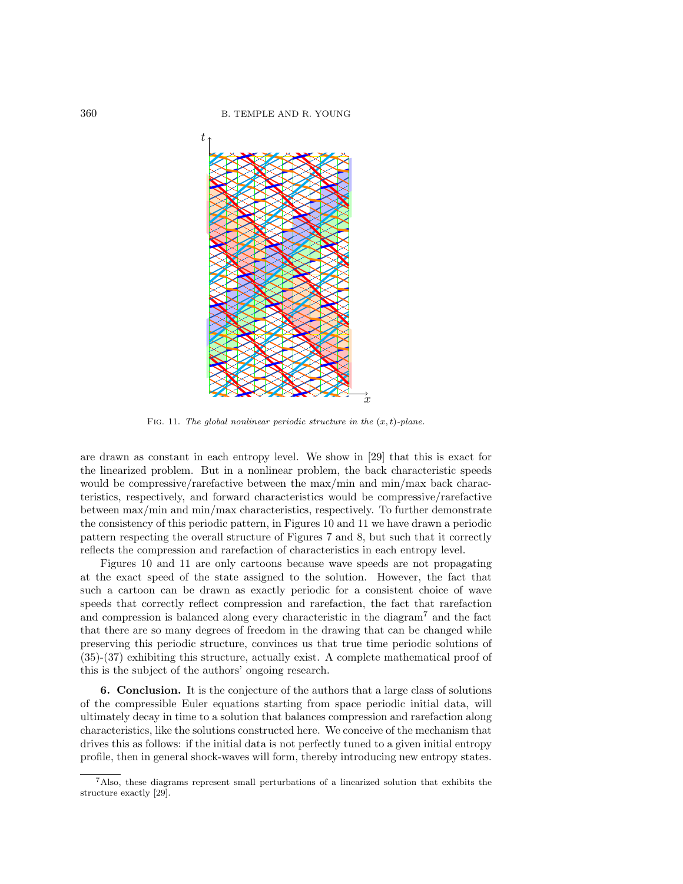

FIG. 11. The global nonlinear periodic structure in the  $(x, t)$ -plane.

are drawn as constant in each entropy level. We show in [29] that this is exact for the linearized problem. But in a nonlinear problem, the back characteristic speeds would be compressive/rarefactive between the max/min and min/max back characteristics, respectively, and forward characteristics would be compressive/rarefactive between max/min and min/max characteristics, respectively. To further demonstrate the consistency of this periodic pattern, in Figures 10 and 11 we have drawn a periodic pattern respecting the overall structure of Figures 7 and 8, but such that it correctly reflects the compression and rarefaction of characteristics in each entropy level.

Figures 10 and 11 are only cartoons because wave speeds are not propagating at the exact speed of the state assigned to the solution. However, the fact that such a cartoon can be drawn as exactly periodic for a consistent choice of wave speeds that correctly reflect compression and rarefaction, the fact that rarefaction and compression is balanced along every characteristic in the diagram<sup>7</sup> and the fact that there are so many degrees of freedom in the drawing that can be changed while preserving this periodic structure, convinces us that true time periodic solutions of (35)-(37) exhibiting this structure, actually exist. A complete mathematical proof of this is the subject of the authors' ongoing research.

6. Conclusion. It is the conjecture of the authors that a large class of solutions of the compressible Euler equations starting from space periodic initial data, will ultimately decay in time to a solution that balances compression and rarefaction along characteristics, like the solutions constructed here. We conceive of the mechanism that drives this as follows: if the initial data is not perfectly tuned to a given initial entropy profile, then in general shock-waves will form, thereby introducing new entropy states.

<sup>7</sup>Also, these diagrams represent small perturbations of a linearized solution that exhibits the structure exactly [29].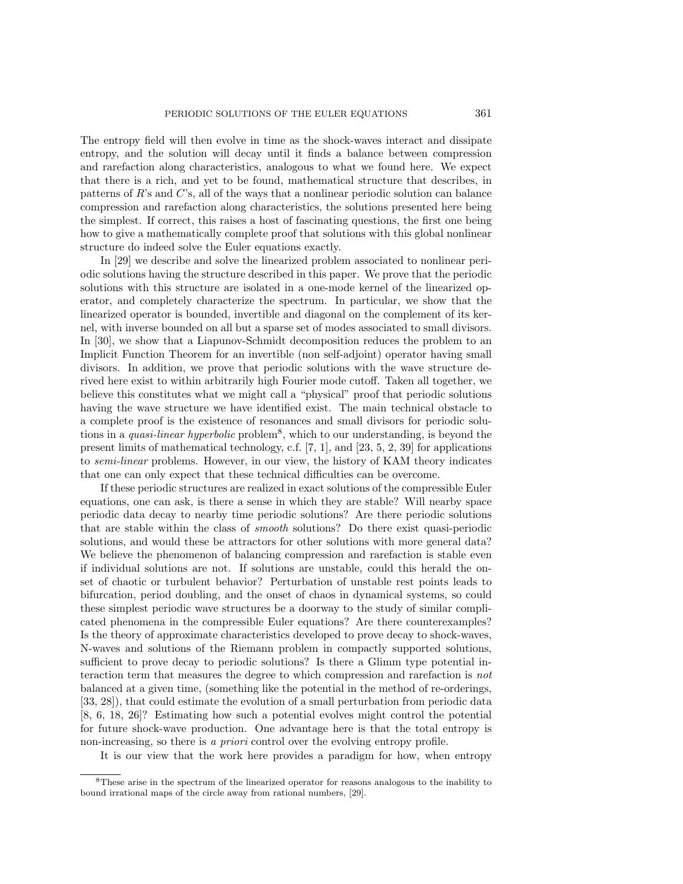The entropy field will then evolve in time as the shock-waves interact and dissipate entropy, and the solution will decay until it finds a balance between compression and rarefaction along characteristics, analogous to what we found here. We expect that there is a rich, and yet to be found, mathematical structure that describes, in patterns of R's and C's, all of the ways that a nonlinear periodic solution can balance compression and rarefaction along characteristics, the solutions presented here being the simplest. If correct, this raises a host of fascinating questions, the first one being how to give a mathematically complete proof that solutions with this global nonlinear structure do indeed solve the Euler equations exactly.

In [29] we describe and solve the linearized problem associated to nonlinear periodic solutions having the structure described in this paper. We prove that the periodic solutions with this structure are isolated in a one-mode kernel of the linearized operator, and completely characterize the spectrum. In particular, we show that the linearized operator is bounded, invertible and diagonal on the complement of its kernel, with inverse bounded on all but a sparse set of modes associated to small divisors. In [30], we show that a Liapunov-Schmidt decomposition reduces the problem to an Implicit Function Theorem for an invertible (non self-adjoint) operator having small divisors. In addition, we prove that periodic solutions with the wave structure derived here exist to within arbitrarily high Fourier mode cutoff. Taken all together, we believe this constitutes what we might call a "physical" proof that periodic solutions having the wave structure we have identified exist. The main technical obstacle to a complete proof is the existence of resonances and small divisors for periodic solutions in a *quasi-linear hyperbolic* problem<sup>8</sup>, which to our understanding, is beyond the present limits of mathematical technology, c.f. [7, 1], and [23, 5, 2, 39] for applications to *semi-linear* problems. However, in our view, the history of KAM theory indicates that one can only expect that these technical difficulties can be overcome.

If these periodic structures are realized in exact solutions of the compressible Euler equations, one can ask, is there a sense in which they are stable? Will nearby space periodic data decay to nearby time periodic solutions? Are there periodic solutions that are stable within the class of *smooth* solutions? Do there exist quasi-periodic solutions, and would these be attractors for other solutions with more general data? We believe the phenomenon of balancing compression and rarefaction is stable even if individual solutions are not. If solutions are unstable, could this herald the onset of chaotic or turbulent behavior? Perturbation of unstable rest points leads to bifurcation, period doubling, and the onset of chaos in dynamical systems, so could these simplest periodic wave structures be a doorway to the study of similar complicated phenomena in the compressible Euler equations? Are there counterexamples? Is the theory of approximate characteristics developed to prove decay to shock-waves, N-waves and solutions of the Riemann problem in compactly supported solutions, sufficient to prove decay to periodic solutions? Is there a Glimm type potential interaction term that measures the degree to which compression and rarefaction is *not* balanced at a given time, (something like the potential in the method of re-orderings, [33, 28]), that could estimate the evolution of a small perturbation from periodic data [8, 6, 18, 26]? Estimating how such a potential evolves might control the potential for future shock-wave production. One advantage here is that the total entropy is non-increasing, so there is *a priori* control over the evolving entropy profile.

It is our view that the work here provides a paradigm for how, when entropy

<sup>8</sup>These arise in the spectrum of the linearized operator for reasons analogous to the inability to bound irrational maps of the circle away from rational numbers, [29].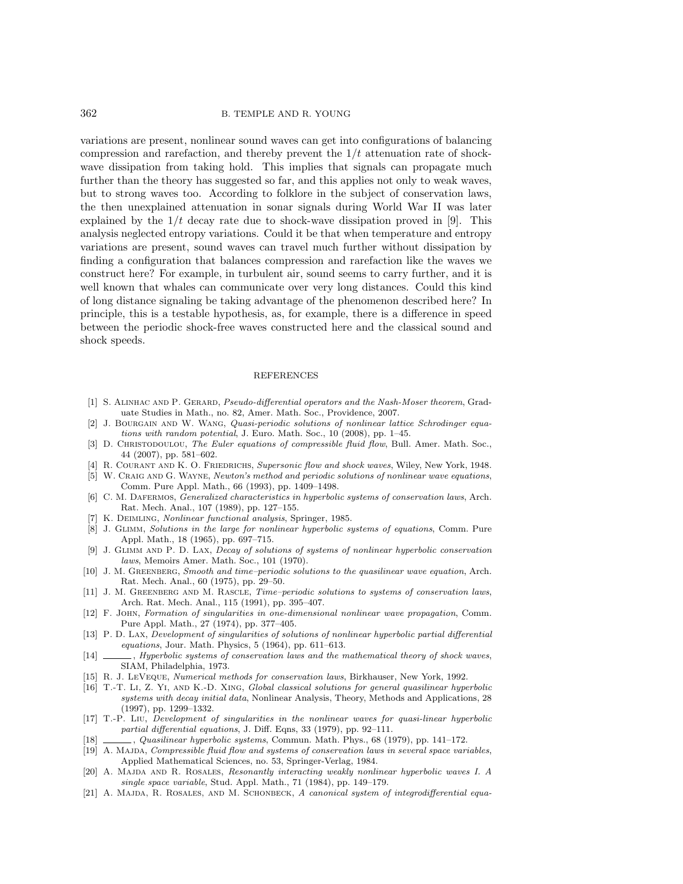362 B. TEMPLE AND R. YOUNG

variations are present, nonlinear sound waves can get into configurations of balancing compression and rarefaction, and thereby prevent the  $1/t$  attenuation rate of shockwave dissipation from taking hold. This implies that signals can propagate much further than the theory has suggested so far, and this applies not only to weak waves, but to strong waves too. According to folklore in the subject of conservation laws, the then unexplained attenuation in sonar signals during World War II was later explained by the  $1/t$  decay rate due to shock-wave dissipation proved in [9]. This analysis neglected entropy variations. Could it be that when temperature and entropy variations are present, sound waves can travel much further without dissipation by finding a configuration that balances compression and rarefaction like the waves we construct here? For example, in turbulent air, sound seems to carry further, and it is well known that whales can communicate over very long distances. Could this kind of long distance signaling be taking advantage of the phenomenon described here? In principle, this is a testable hypothesis, as, for example, there is a difference in speed between the periodic shock-free waves constructed here and the classical sound and shock speeds.

## REFERENCES

- [1] S. ALINHAC AND P. GERARD, Pseudo-differential operators and the Nash-Moser theorem, Graduate Studies in Math., no. 82, Amer. Math. Soc., Providence, 2007.
- [2] J. BOURGAIN AND W. WANG, Quasi-periodic solutions of nonlinear lattice Schrodinger equations with random potential, J. Euro. Math. Soc., 10 (2008), pp. 1–45.
- [3] D. CHRISTODOULOU, The Euler equations of compressible fluid flow, Bull. Amer. Math. Soc., 44 (2007), pp. 581–602.
- [4] R. COURANT AND K. O. FRIEDRICHS, Supersonic flow and shock waves, Wiley, New York, 1948.
- [5] W. CRAIG AND G. WAYNE, Newton's method and periodic solutions of nonlinear wave equations, Comm. Pure Appl. Math., 66 (1993), pp. 1409–1498.
- [6] C. M. DAFERMOS, *Generalized characteristics in hyperbolic systems of conservation laws*, Arch. Rat. Mech. Anal., 107 (1989), pp. 127–155.
- K. DEIMLING, Nonlinear functional analysis, Springer, 1985.
- [8] J. GLIMM, Solutions in the large for nonlinear hyperbolic systems of equations, Comm. Pure Appl. Math., 18 (1965), pp. 697–715.
- [9] J. GLIMM AND P. D. LAX, *Decay of solutions of systems of nonlinear hyperbolic conservation* laws, Memoirs Amer. Math. Soc., 101 (1970).
- [10] J. M. Greenberg, Smooth and time–periodic solutions to the quasilinear wave equation, Arch. Rat. Mech. Anal., 60 (1975), pp. 29–50.
- [11] J. M. GREENBERG AND M. RASCLE, Time–periodic solutions to systems of conservation laws, Arch. Rat. Mech. Anal., 115 (1991), pp. 395–407.
- [12] F. John, Formation of singularities in one-dimensional nonlinear wave propagation, Comm. Pure Appl. Math., 27 (1974), pp. 377–405.
- [13] P. D. Lax, Development of singularities of solutions of nonlinear hyperbolic partial differential equations, Jour. Math. Physics, 5 (1964), pp. 611–613.
- [14]  $\_\_\_\_\$  Hyperbolic systems of conservation laws and the mathematical theory of shock waves, SIAM, Philadelphia, 1973.
- [15] R. J. LeVeque, Numerical methods for conservation laws, Birkhauser, New York, 1992.
- [16] T.-T. Li, Z. Yi, and K.-D. Xing, Global classical solutions for general quasilinear hyperbolic systems with decay initial data, Nonlinear Analysis, Theory, Methods and Applications, 28 (1997), pp. 1299–1332.
- [17] T.-P. Liu, Development of singularities in the nonlinear waves for quasi-linear hyperbolic partial differential equations, J. Diff. Eqns, 33 (1979), pp. 92–111.
- [18] , Quasilinear hyperbolic systems, Commun. Math. Phys., 68 (1979), pp. 141–172.
- [19] A. MAJDA, Compressible fluid flow and systems of conservation laws in several space variables, Applied Mathematical Sciences, no. 53, Springer-Verlag, 1984.
- [20] A. MAJDA AND R. ROSALES, Resonantly interacting weakly nonlinear hyperbolic waves I. A single space variable, Stud. Appl. Math., 71 (1984), pp. 149–179.
- [21] A. MAJDA, R. ROSALES, AND M. SCHONBECK, A canonical system of integrodifferential equa-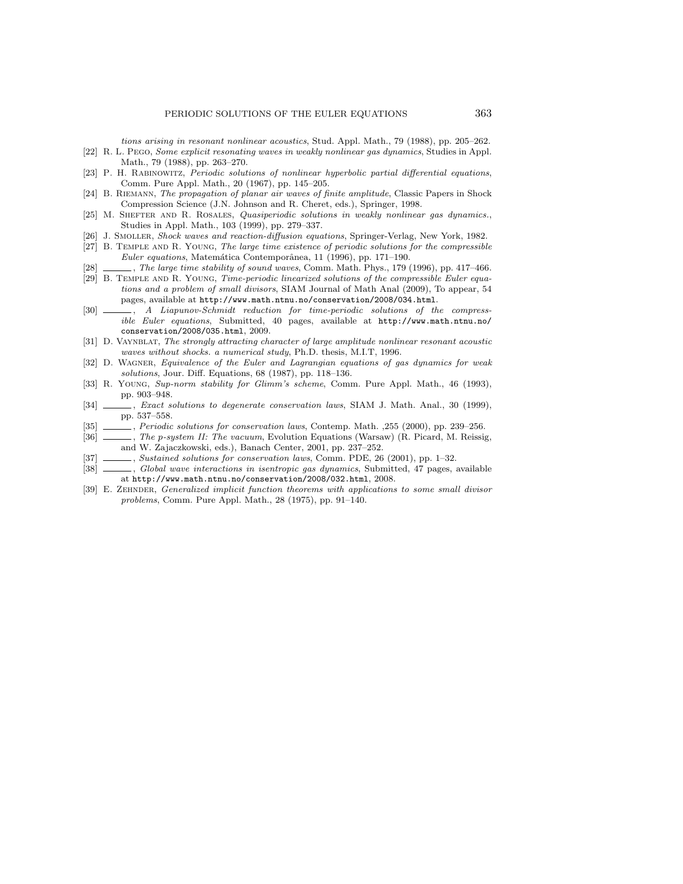tions arising in resonant nonlinear acoustics, Stud. Appl. Math., 79 (1988), pp. 205–262. [22] R. L. Pego, Some explicit resonating waves in weakly nonlinear gas dynamics, Studies in Appl.

- Math., 79 (1988), pp. 263–270.
- [23] P. H. Rabinowitz, Periodic solutions of nonlinear hyperbolic partial differential equations, Comm. Pure Appl. Math., 20 (1967), pp. 145–205.
- [24] B. Riemann, The propagation of planar air waves of finite amplitude, Classic Papers in Shock Compression Science (J.N. Johnson and R. Cheret, eds.), Springer, 1998.
- [25] M. SHEFTER AND R. ROSALES, Quasiperiodic solutions in weakly nonlinear gas dynamics., Studies in Appl. Math., 103 (1999), pp. 279–337.
- [26] J. SMOLLER, Shock waves and reaction-diffusion equations, Springer-Verlag, New York, 1982.
- [27] B. Temple and R. Young, The large time existence of periodic solutions for the compressible  $Euler$  equations, Matemática Contemporânea, 11 (1996), pp. 171-190.
- [28] , The large time stability of sound waves, Comm. Math. Phys., 179 (1996), pp. 417–466.
- [29] B. Temple and R. Young, Time-periodic linearized solutions of the compressible Euler equations and a problem of small divisors, SIAM Journal of Math Anal (2009), To appear, 54 pages, available at http://www.math.ntnu.no/conservation/2008/034.html.
- [30] , A Liapunov-Schmidt reduction for time-periodic solutions of the compressible Euler equations, Submitted, 40 pages, available at http://www.math.ntnu.no/ conservation/2008/035.html, 2009.
- [31] D. VAYNBLAT, The strongly attracting character of large amplitude nonlinear resonant acoustic waves without shocks. a numerical study, Ph.D. thesis, M.I.T, 1996.
- [32] D. WAGNER, Equivalence of the Euler and Lagrangian equations of gas dynamics for weak solutions, Jour. Diff. Equations, 68 (1987), pp. 118–136.
- [33] R. Young, Sup-norm stability for Glimm's scheme, Comm. Pure Appl. Math., 46 (1993), pp. 903–948.
- [34] , Exact solutions to degenerate conservation laws, SIAM J. Math. Anal., 30 (1999), pp. 537–558.
- [35] , Periodic solutions for conservation laws, Contemp. Math. , 255 (2000), pp. 239–256.<br>[36] , The p-system II: The vacuum, Evolution Equations (Warsaw) (R. Picard, M. Reissis
- [36] , The *p*-system II: The vacuum, Evolution Equations (Warsaw) (R. Picard, M. Reissig, and W. Zajaczkowski, eds.), Banach Center, 2001, pp. 237–252.
- [37] , Sustained solutions for conservation laws, Comm. PDE, 26 (2001), pp. 1-32.
- [38] , Global wave interactions in isentropic gas dynamics, Submitted, 47 pages, available at http://www.math.ntnu.no/conservation/2008/032.html, 2008.
- [39] E. ZEHNDER, Generalized implicit function theorems with applications to some small divisor problems, Comm. Pure Appl. Math., 28 (1975), pp. 91–140.